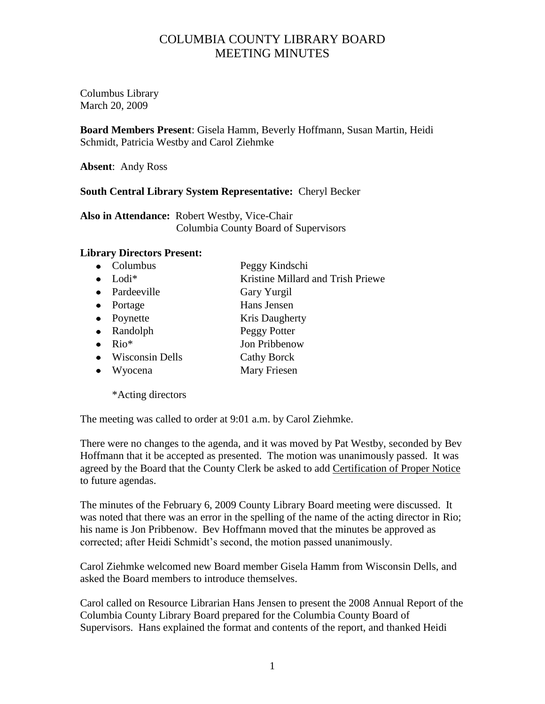## COLUMBIA COUNTY LIBRARY BOARD MEETING MINUTES

Columbus Library March 20, 2009

**Board Members Present**: Gisela Hamm, Beverly Hoffmann, Susan Martin, Heidi Schmidt, Patricia Westby and Carol Ziehmke

**Absent**: Andy Ross

## **South Central Library System Representative:** Cheryl Becker

**Also in Attendance:** Robert Westby, Vice-Chair Columbia County Board of Supervisors

## **Library Directors Present:**

- Columbus Peggy Kindschi
- Lodi<sup>\*</sup> Kristine Millard and Trish Priewe
- Pardeeville Gary Yurgil
- Portage Hans Jensen
- Poynette Kris Daugherty
- Randolph Peggy Potter
- Rio<sup>\*</sup> Jon Pribbenow
- Wisconsin Dells Cathy Borck
- Wyocena Mary Friesen

\*Acting directors

The meeting was called to order at 9:01 a.m. by Carol Ziehmke.

There were no changes to the agenda, and it was moved by Pat Westby, seconded by Bev Hoffmann that it be accepted as presented. The motion was unanimously passed. It was agreed by the Board that the County Clerk be asked to add Certification of Proper Notice to future agendas.

The minutes of the February 6, 2009 County Library Board meeting were discussed. It was noted that there was an error in the spelling of the name of the acting director in Rio; his name is Jon Pribbenow. Bev Hoffmann moved that the minutes be approved as corrected; after Heidi Schmidt's second, the motion passed unanimously.

Carol Ziehmke welcomed new Board member Gisela Hamm from Wisconsin Dells, and asked the Board members to introduce themselves.

Carol called on Resource Librarian Hans Jensen to present the 2008 Annual Report of the Columbia County Library Board prepared for the Columbia County Board of Supervisors. Hans explained the format and contents of the report, and thanked Heidi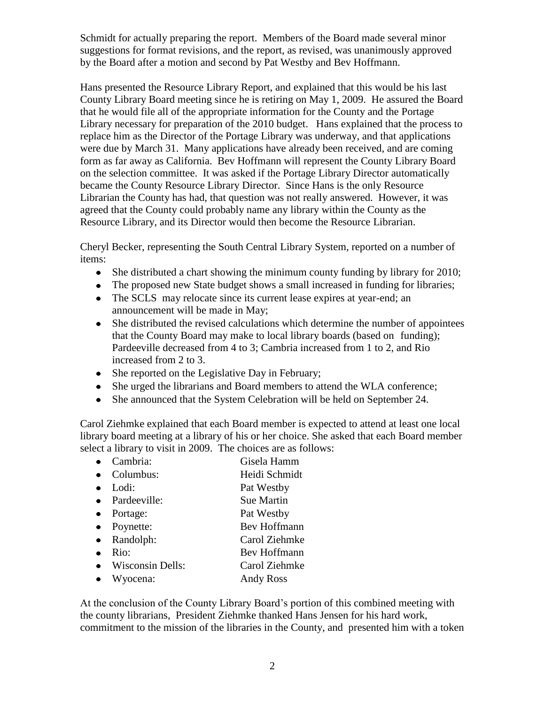Schmidt for actually preparing the report. Members of the Board made several minor suggestions for format revisions, and the report, as revised, was unanimously approved by the Board after a motion and second by Pat Westby and Bev Hoffmann.

Hans presented the Resource Library Report, and explained that this would be his last County Library Board meeting since he is retiring on May 1, 2009. He assured the Board that he would file all of the appropriate information for the County and the Portage Library necessary for preparation of the 2010 budget. Hans explained that the process to replace him as the Director of the Portage Library was underway, and that applications were due by March 31. Many applications have already been received, and are coming form as far away as California. Bev Hoffmann will represent the County Library Board on the selection committee. It was asked if the Portage Library Director automatically became the County Resource Library Director. Since Hans is the only Resource Librarian the County has had, that question was not really answered. However, it was agreed that the County could probably name any library within the County as the Resource Library, and its Director would then become the Resource Librarian.

Cheryl Becker, representing the South Central Library System, reported on a number of items:

- She distributed a chart showing the minimum county funding by library for 2010;
- The proposed new State budget shows a small increased in funding for libraries;
- The SCLS may relocate since its current lease expires at year-end; an announcement will be made in May;
- She distributed the revised calculations which determine the number of appointees that the County Board may make to local library boards (based on funding); Pardeeville decreased from 4 to 3; Cambria increased from 1 to 2, and Rio increased from 2 to 3.
- She reported on the Legislative Day in February;
- She urged the librarians and Board members to attend the WLA conference;
- She announced that the System Celebration will be held on September 24.

Carol Ziehmke explained that each Board member is expected to attend at least one local library board meeting at a library of his or her choice. She asked that each Board member select a library to visit in 2009. The choices are as follows:

- Cambria: Gisela Hamm
- Columbus: Heidi Schmidt
- Lodi: Pat Westby
- Pardeeville: Sue Martin
- Portage: Pat Westby
- Poynette: Bev Hoffmann
- Randolph: Carol Ziehmke
- Rio: Bev Hoffmann
- Wisconsin Dells: Carol Ziehmke
- Wyocena: Andy Ross

At the conclusion of the County Library Board's portion of this combined meeting with the county librarians, President Ziehmke thanked Hans Jensen for his hard work, commitment to the mission of the libraries in the County, and presented him with a token